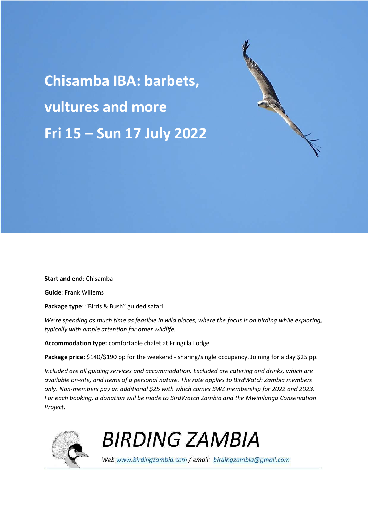**Chisamba IBA: barbets, vultures and more Fri 15 – Sun 17 July 2022** 

**Start and end**: Chisamba

**Guide**: Frank Willems

**Package type**: "Birds & Bush" guided safari

*We're spending as much time as feasible in wild places, where the focus is on birding while exploring, typically with ample attention for other wildlife.* 

**Accommodation type:** comfortable chalet at Fringilla Lodge

Package price: \$140/\$190 pp for the weekend - sharing/single occupancy. Joining for a day \$25 pp.

*Included are all guiding services and accommodation. Excluded are catering and drinks, which are available on-site, and items of a personal nature. The rate applies to BirdWatch Zambia members only. Non-members pay an additional \$25 with which comes BWZ membership for 2022 and 2023. For each booking, a donation will be made to BirdWatch Zambia and the Mwinilunga Conservation Project.* 



**BIRDING ZAMBIA** 

Web www.birdingzambia.com / email: birdingzambia@gmail.com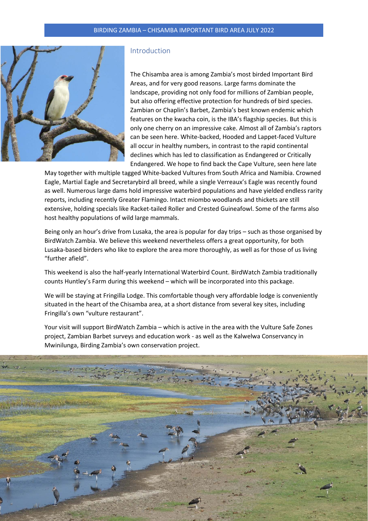

## Introduction

The Chisamba area is among Zambia's most birded Important Bird Areas, and for very good reasons. Large farms dominate the landscape, providing not only food for millions of Zambian people, but also offering effective protection for hundreds of bird species. Zambian or Chaplin's Barbet, Zambia's best known endemic which features on the kwacha coin, is the IBA's flagship species. But this is only one cherry on an impressive cake. Almost all of Zambia's raptors can be seen here. White-backed, Hooded and Lappet-faced Vulture all occur in healthy numbers, in contrast to the rapid continental declines which has led to classification as Endangered or Critically Endangered. We hope to find back the Cape Vulture, seen here late

May together with multiple tagged White-backed Vultures from South Africa and Namibia. Crowned Eagle, Martial Eagle and Secretarybird all breed, while a single Verreaux's Eagle was recently found as well. Numerous large dams hold impressive waterbird populations and have yielded endless rarity reports, including recently Greater Flamingo. Intact miombo woodlands and thickets are still extensive, holding specials like Racket-tailed Roller and Crested Guineafowl. Some of the farms also host healthy populations of wild large mammals.

Being only an hour's drive from Lusaka, the area is popular for day trips – such as those organised by BirdWatch Zambia. We believe this weekend nevertheless offers a great opportunity, for both Lusaka-based birders who like to explore the area more thoroughly, as well as for those of us living "further afield".

This weekend is also the half-yearly International Waterbird Count. BirdWatch Zambia traditionally counts Huntley's Farm during this weekend – which will be incorporated into this package.

We will be staying at Fringilla Lodge. This comfortable though very affordable lodge is conveniently situated in the heart of the Chisamba area, at a short distance from several key sites, including Fringilla's own "vulture restaurant".

Your visit will support BirdWatch Zambia – which is active in the area with the Vulture Safe Zones project, Zambian Barbet surveys and education work - as well as the Kalwelwa Conservancy in Mwinilunga, Birding Zambia's own conservation project.

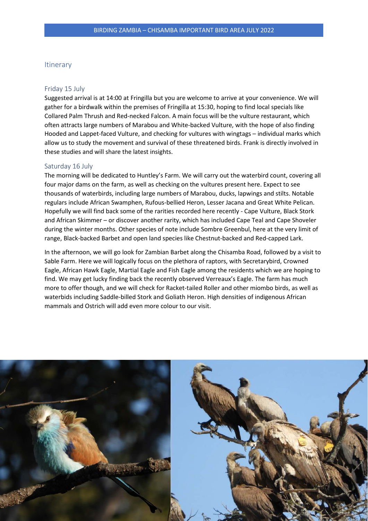## Itinerary

#### Friday 15 July

Suggested arrival is at 14:00 at Fringilla but you are welcome to arrive at your convenience. We will gather for a birdwalk within the premises of Fringilla at 15:30, hoping to find local specials like Collared Palm Thrush and Red-necked Falcon. A main focus will be the vulture restaurant, which often attracts large numbers of Marabou and White-backed Vulture, with the hope of also finding Hooded and Lappet-faced Vulture, and checking for vultures with wingtags – individual marks which allow us to study the movement and survival of these threatened birds. Frank is directly involved in these studies and will share the latest insights.

### Saturday 16 July

The morning will be dedicated to Huntley's Farm. We will carry out the waterbird count, covering all four major dams on the farm, as well as checking on the vultures present here. Expect to see thousands of waterbirds, including large numbers of Marabou, ducks, lapwings and stilts. Notable regulars include African Swamphen, Rufous-bellied Heron, Lesser Jacana and Great White Pelican. Hopefully we will find back some of the rarities recorded here recently - Cape Vulture, Black Stork and African Skimmer – or discover another rarity, which has included Cape Teal and Cape Shoveler during the winter months. Other species of note include Sombre Greenbul, here at the very limit of range, Black-backed Barbet and open land species like Chestnut-backed and Red-capped Lark.

In the afternoon, we will go look for Zambian Barbet along the Chisamba Road, followed by a visit to Sable Farm. Here we will logically focus on the plethora of raptors, with Secretarybird, Crowned Eagle, African Hawk Eagle, Martial Eagle and Fish Eagle among the residents which we are hoping to find. We may get lucky finding back the recently observed Verreaux's Eagle. The farm has much more to offer though, and we will check for Racket-tailed Roller and other miombo birds, as well as waterbids including Saddle-billed Stork and Goliath Heron. High densities of indigenous African mammals and Ostrich will add even more colour to our visit.